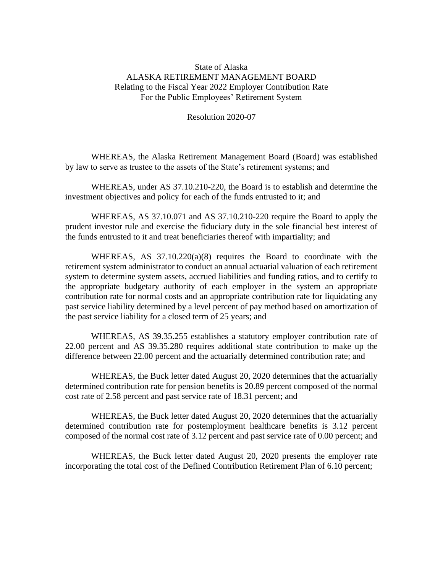## State of Alaska ALASKA RETIREMENT MANAGEMENT BOARD Relating to the Fiscal Year 2022 Employer Contribution Rate For the Public Employees' Retirement System

Resolution 2020-07

WHEREAS, the Alaska Retirement Management Board (Board) was established by law to serve as trustee to the assets of the State's retirement systems; and

WHEREAS, under AS 37.10.210-220, the Board is to establish and determine the investment objectives and policy for each of the funds entrusted to it; and

WHEREAS, AS 37.10.071 and AS 37.10.210-220 require the Board to apply the prudent investor rule and exercise the fiduciary duty in the sole financial best interest of the funds entrusted to it and treat beneficiaries thereof with impartiality; and

WHEREAS, AS  $37.10.220(a)(8)$  requires the Board to coordinate with the retirement system administrator to conduct an annual actuarial valuation of each retirement system to determine system assets, accrued liabilities and funding ratios, and to certify to the appropriate budgetary authority of each employer in the system an appropriate contribution rate for normal costs and an appropriate contribution rate for liquidating any past service liability determined by a level percent of pay method based on amortization of the past service liability for a closed term of 25 years; and

WHEREAS, AS 39.35.255 establishes a statutory employer contribution rate of 22.00 percent and AS 39.35.280 requires additional state contribution to make up the difference between 22.00 percent and the actuarially determined contribution rate; and

WHEREAS, the Buck letter dated August 20, 2020 determines that the actuarially determined contribution rate for pension benefits is 20.89 percent composed of the normal cost rate of 2.58 percent and past service rate of 18.31 percent; and

WHEREAS, the Buck letter dated August 20, 2020 determines that the actuarially determined contribution rate for postemployment healthcare benefits is 3.12 percent composed of the normal cost rate of 3.12 percent and past service rate of 0.00 percent; and

WHEREAS, the Buck letter dated August 20, 2020 presents the employer rate incorporating the total cost of the Defined Contribution Retirement Plan of 6.10 percent;